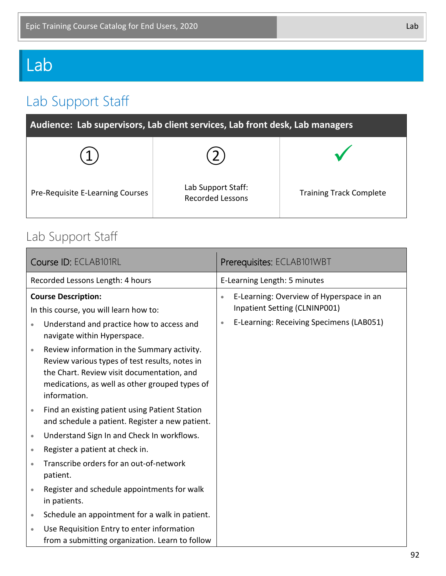# Lab

## Lab Support Staff

| Audience: Lab supervisors, Lab client services, Lab front desk, Lab managers |                                               |                                |  |  |
|------------------------------------------------------------------------------|-----------------------------------------------|--------------------------------|--|--|
|                                                                              |                                               |                                |  |  |
| Pre-Requisite E-Learning Courses                                             | Lab Support Staff:<br><b>Recorded Lessons</b> | <b>Training Track Complete</b> |  |  |

#### Lab Support Staff

| Course ID: ECLAB101RL                                                                                                                                                                                                      | Prerequisites: ECLAB101WBT                                                             |  |
|----------------------------------------------------------------------------------------------------------------------------------------------------------------------------------------------------------------------------|----------------------------------------------------------------------------------------|--|
| Recorded Lessons Length: 4 hours                                                                                                                                                                                           | E-Learning Length: 5 minutes                                                           |  |
| <b>Course Description:</b><br>In this course, you will learn how to:                                                                                                                                                       | E-Learning: Overview of Hyperspace in an<br>$\bullet$<br>Inpatient Setting (CLNINP001) |  |
| Understand and practice how to access and<br>$\bullet$<br>navigate within Hyperspace.                                                                                                                                      | E-Learning: Receiving Specimens (LAB051)<br>$\bullet$                                  |  |
| Review information in the Summary activity.<br>$\bullet$<br>Review various types of test results, notes in<br>the Chart. Review visit documentation, and<br>medications, as well as other grouped types of<br>information. |                                                                                        |  |
| Find an existing patient using Patient Station<br>$\bullet$<br>and schedule a patient. Register a new patient.                                                                                                             |                                                                                        |  |
| Understand Sign In and Check In workflows.<br>$\bullet$                                                                                                                                                                    |                                                                                        |  |
| Register a patient at check in.<br>$\bullet$                                                                                                                                                                               |                                                                                        |  |
| Transcribe orders for an out-of-network<br>patient.                                                                                                                                                                        |                                                                                        |  |
| Register and schedule appointments for walk<br>$\bullet$<br>in patients.                                                                                                                                                   |                                                                                        |  |
| Schedule an appointment for a walk in patient.<br>$\bullet$                                                                                                                                                                |                                                                                        |  |
| Use Requisition Entry to enter information<br>from a submitting organization. Learn to follow                                                                                                                              |                                                                                        |  |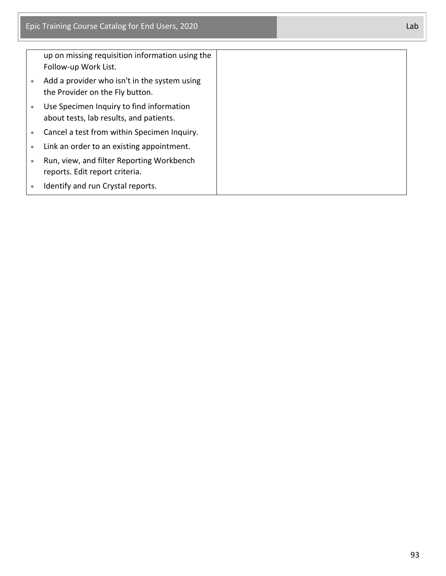|           | up on missing requisition information using the<br>Follow-up Work List.             |
|-----------|-------------------------------------------------------------------------------------|
|           | Add a provider who isn't in the system using<br>the Provider on the Fly button.     |
|           | Use Specimen Inquiry to find information<br>about tests, lab results, and patients. |
| $\bullet$ | Cancel a test from within Specimen Inquiry.                                         |
| $\bullet$ | Link an order to an existing appointment.                                           |
|           | Run, view, and filter Reporting Workbench<br>reports. Edit report criteria.         |
|           | Identify and run Crystal reports.                                                   |